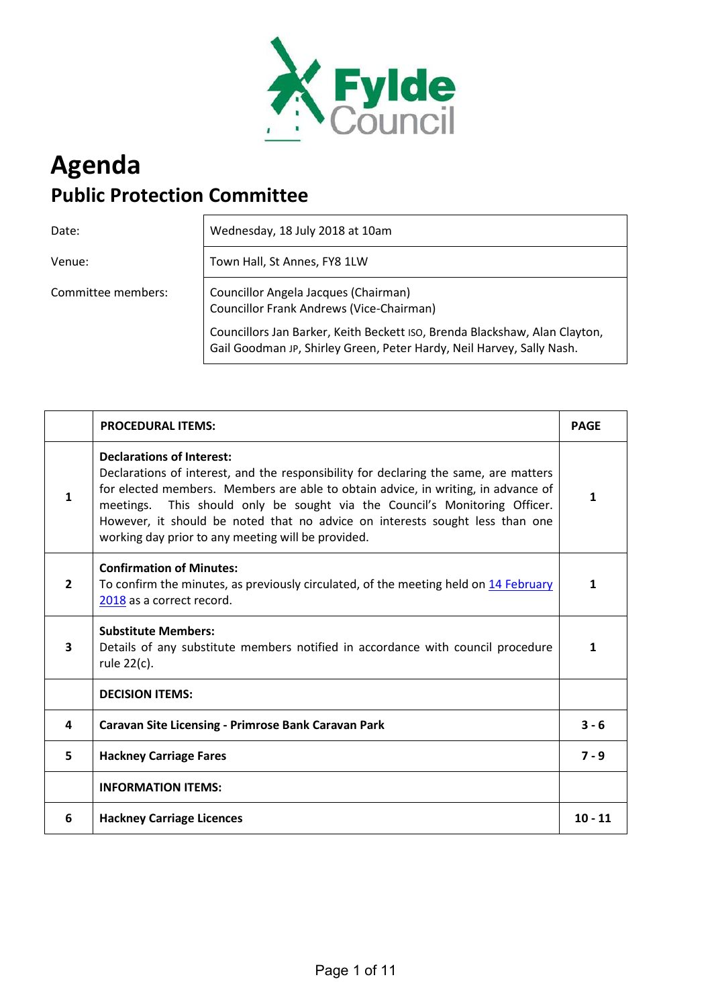

# **Agenda Public Protection Committee**

Date: Wednesday, 18 July 2018 at 10am

Venue: **Town Hall, St Annes, FY8 1LW** 

Committee members: Councillor Angela Jacques (Chairman) Councillor Frank Andrews (Vice-Chairman)

> Councillors Jan Barker, Keith Beckett ISO, Brenda Blackshaw, Alan Clayton, Gail Goodman JP, Shirley Green, Peter Hardy, Neil Harvey, Sally Nash.

|                | <b>PROCEDURAL ITEMS:</b>                                                                                                                                                                                                                                                                                                                                                                                                             | <b>PAGE</b> |
|----------------|--------------------------------------------------------------------------------------------------------------------------------------------------------------------------------------------------------------------------------------------------------------------------------------------------------------------------------------------------------------------------------------------------------------------------------------|-------------|
| 1              | <b>Declarations of Interest:</b><br>Declarations of interest, and the responsibility for declaring the same, are matters<br>for elected members. Members are able to obtain advice, in writing, in advance of<br>This should only be sought via the Council's Monitoring Officer.<br>meetings.<br>However, it should be noted that no advice on interests sought less than one<br>working day prior to any meeting will be provided. | 1           |
| $\overline{2}$ | <b>Confirmation of Minutes:</b><br>To confirm the minutes, as previously circulated, of the meeting held on 14 February<br>2018 as a correct record.                                                                                                                                                                                                                                                                                 | 1           |
| 3              | <b>Substitute Members:</b><br>Details of any substitute members notified in accordance with council procedure<br>rule 22(c).                                                                                                                                                                                                                                                                                                         | 1           |
|                | <b>DECISION ITEMS:</b>                                                                                                                                                                                                                                                                                                                                                                                                               |             |
| 4              | Caravan Site Licensing - Primrose Bank Caravan Park                                                                                                                                                                                                                                                                                                                                                                                  | $3 - 6$     |
| 5              | <b>Hackney Carriage Fares</b>                                                                                                                                                                                                                                                                                                                                                                                                        | $7 - 9$     |
|                | <b>INFORMATION ITEMS:</b>                                                                                                                                                                                                                                                                                                                                                                                                            |             |
| 6              | <b>Hackney Carriage Licences</b>                                                                                                                                                                                                                                                                                                                                                                                                     | $10 - 11$   |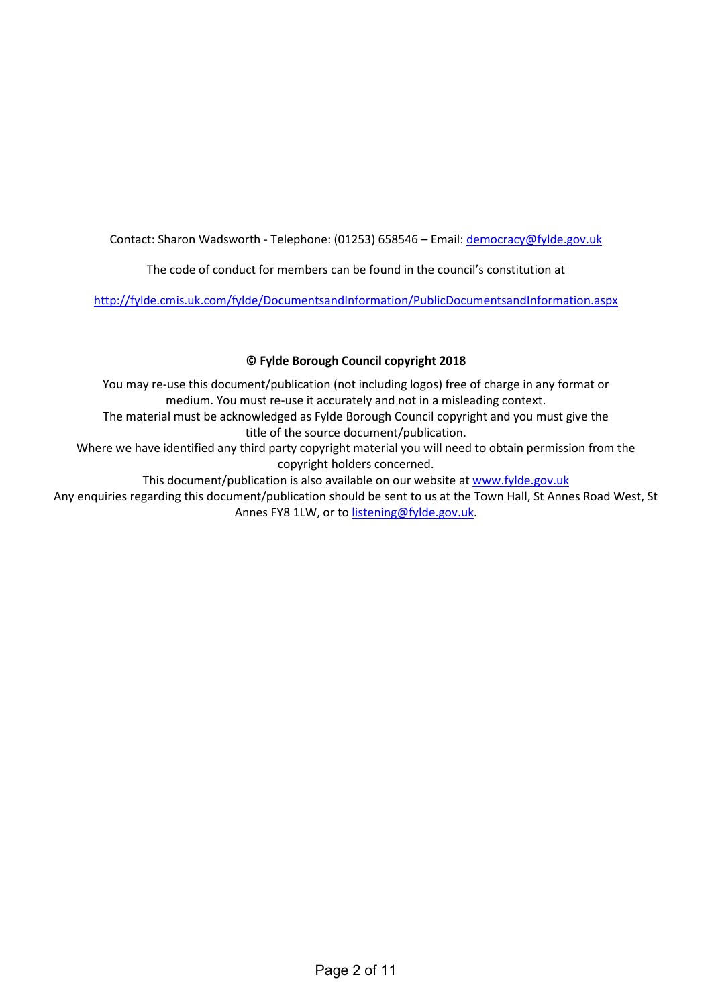Contact: Sharon Wadsworth - Telephone: (01253) 658546 - Email: democracy@fylde.gov.uk

The code of conduct for members can be found in the council's constitution at

<http://fylde.cmis.uk.com/fylde/DocumentsandInformation/PublicDocumentsandInformation.aspx>

# **© Fylde Borough Council copyright 2018**

You may re-use this document/publication (not including logos) free of charge in any format or medium. You must re-use it accurately and not in a misleading context. The material must be acknowledged as Fylde Borough Council copyright and you must give the

title of the source document/publication.

Where we have identified any third party copyright material you will need to obtain permission from the copyright holders concerned.

This document/publication is also available on our website at [www.fylde.gov.uk](http://www.fylde.gov.uk/) 

Any enquiries regarding this document/publication should be sent to us at the Town Hall, St Annes Road West, St Annes FY8 1LW, or to [listening@fylde.gov.uk.](mailto:listening@fylde.gov.uk)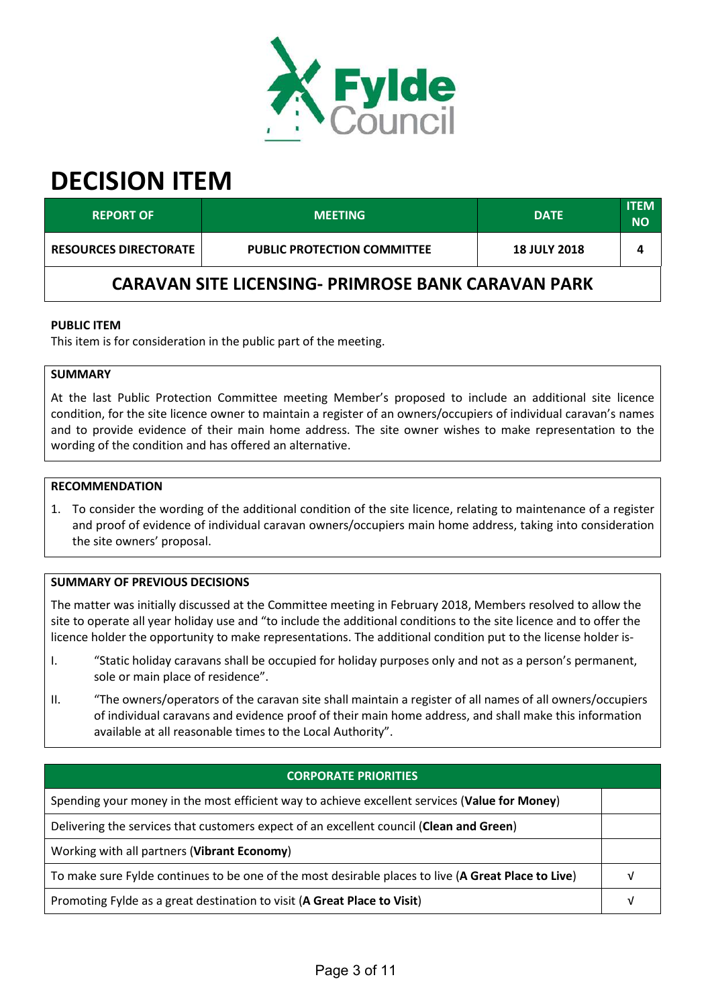

# **DECISION ITEM**

| <b>REPORT OF</b>                                          | <b>MEETING</b>                     | <b>DATE</b>         | <b>ITEM</b><br><b>NO</b> |  |
|-----------------------------------------------------------|------------------------------------|---------------------|--------------------------|--|
| <b>RESOURCES DIRECTORATE</b>                              | <b>PUBLIC PROTECTION COMMITTEE</b> | <b>18 JULY 2018</b> |                          |  |
| <b>CARAVAN SITE LICENSING- PRIMROSE BANK CARAVAN PARK</b> |                                    |                     |                          |  |

## **PUBLIC ITEM**

This item is for consideration in the public part of the meeting.

#### **SUMMARY**

At the last Public Protection Committee meeting Member's proposed to include an additional site licence condition, for the site licence owner to maintain a register of an owners/occupiers of individual caravan's names and to provide evidence of their main home address. The site owner wishes to make representation to the wording of the condition and has offered an alternative.

#### **RECOMMENDATION**

1. To consider the wording of the additional condition of the site licence, relating to maintenance of a register and proof of evidence of individual caravan owners/occupiers main home address, taking into consideration the site owners' proposal.

#### **SUMMARY OF PREVIOUS DECISIONS**

The matter was initially discussed at the Committee meeting in February 2018, Members resolved to allow the site to operate all year holiday use and "to include the additional conditions to the site licence and to offer the licence holder the opportunity to make representations. The additional condition put to the license holder is-

- I. "Static holiday caravans shall be occupied for holiday purposes only and not as a person's permanent, sole or main place of residence".
- II. "The owners/operators of the caravan site shall maintain a register of all names of all owners/occupiers of individual caravans and evidence proof of their main home address, and shall make this information available at all reasonable times to the Local Authority".

<span id="page-2-0"></span>

| <b>CORPORATE PRIORITIES</b>                                                                         |  |
|-----------------------------------------------------------------------------------------------------|--|
| Spending your money in the most efficient way to achieve excellent services (Value for Money)       |  |
| Delivering the services that customers expect of an excellent council (Clean and Green)             |  |
| Working with all partners (Vibrant Economy)                                                         |  |
| To make sure Fylde continues to be one of the most desirable places to live (A Great Place to Live) |  |
| Promoting Fylde as a great destination to visit (A Great Place to Visit)                            |  |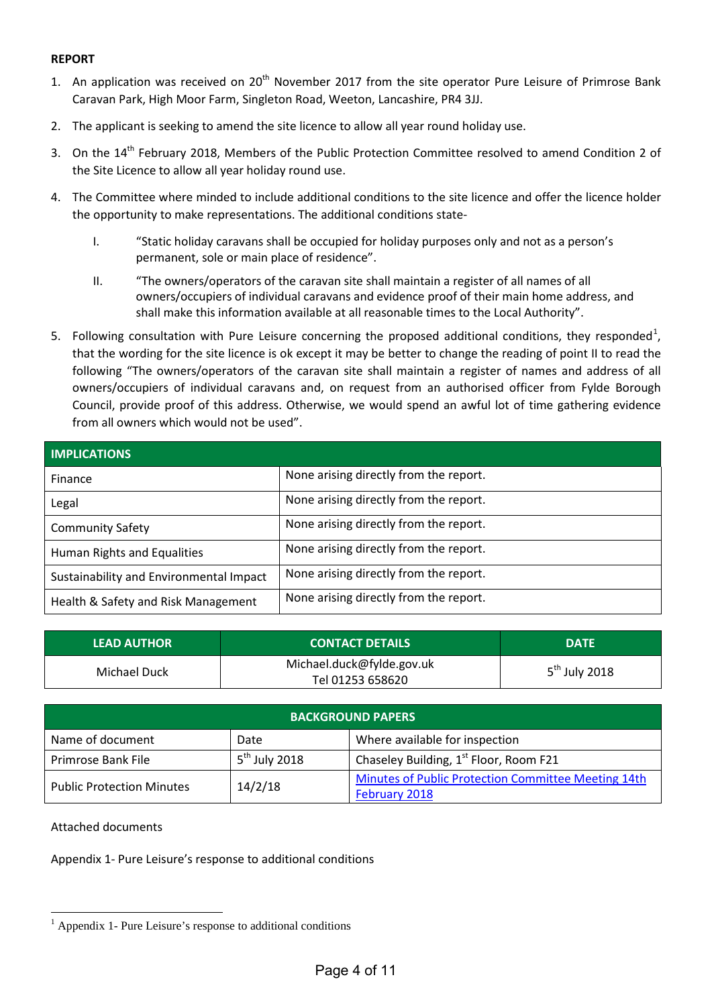# **REPORT**

- 1. An application was received on 20<sup>th</sup> November 2017 from the site operator Pure Leisure of Primrose Bank Caravan Park, High Moor Farm, Singleton Road, Weeton, Lancashire, PR4 3JJ.
- 2. The applicant is seeking to amend the site licence to allow all year round holiday use.
- 3. On the 14<sup>th</sup> February 2018, Members of the Public Protection Committee resolved to amend Condition 2 of the Site Licence to allow all year holiday round use.
- 4. The Committee where minded to include additional conditions to the site licence and offer the licence holder the opportunity to make representations. The additional conditions state-
	- I. "Static holiday caravans shall be occupied for holiday purposes only and not as a person's permanent, sole or main place of residence".
	- II. "The owners/operators of the caravan site shall maintain a register of all names of all owners/occupiers of individual caravans and evidence proof of their main home address, and shall make this information available at all reasonable times to the Local Authority".
- 5. Following consultation with Pure Leisure concerning the proposed additional conditions, they responded<sup>[1](#page-2-0)</sup>, that the wording for the site licence is ok except it may be better to change the reading of point II to read the following "The owners/operators of the caravan site shall maintain a register of names and address of all owners/occupiers of individual caravans and, on request from an authorised officer from Fylde Borough Council, provide proof of this address. Otherwise, we would spend an awful lot of time gathering evidence from all owners which would not be used".

| <b>IMPLICATIONS</b>                     |                                        |  |
|-----------------------------------------|----------------------------------------|--|
| Finance                                 | None arising directly from the report. |  |
| Legal                                   | None arising directly from the report. |  |
| <b>Community Safety</b>                 | None arising directly from the report. |  |
| Human Rights and Equalities             | None arising directly from the report. |  |
| Sustainability and Environmental Impact | None arising directly from the report. |  |
| Health & Safety and Risk Management     | None arising directly from the report. |  |

| <b>LEAD AUTHOR</b> | <b>CONTACT DETAILS</b>                        | <b>DATE</b>     |
|--------------------|-----------------------------------------------|-----------------|
| Michael Duck       | Michael.duck@fylde.gov.uk<br>Tel 01253 658620 | $5th$ July 2018 |

| <b>BACKGROUND PAPERS</b>         |                 |                                                                      |  |
|----------------------------------|-----------------|----------------------------------------------------------------------|--|
| Name of document                 | Date            | Where available for inspection                                       |  |
| Primrose Bank File               | $5th$ July 2018 | Chaseley Building, 1 <sup>st</sup> Floor, Room F21                   |  |
| <b>Public Protection Minutes</b> | 14/2/18         | Minutes of Public Protection Committee Meeting 14th<br>February 2018 |  |

Attached documents

Appendix 1- Pure Leisure's response to additional conditions

 $\overline{a}$  $<sup>1</sup>$  Appendix 1- Pure Leisure's response to additional conditions</sup>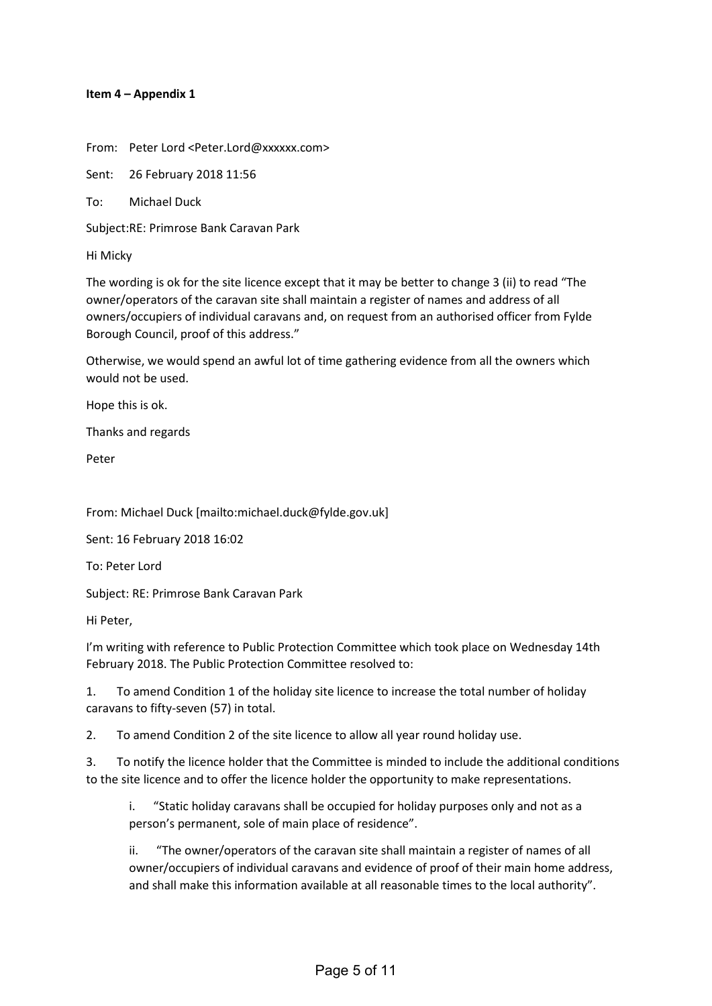#### **Item 4 – Appendix 1**

From: Peter Lord <Peter.Lord@xxxxxx.com>

Sent: 26 February 2018 11:56

To: Michael Duck

Subject:RE: Primrose Bank Caravan Park

Hi Micky

The wording is ok for the site licence except that it may be better to change 3 (ii) to read "The owner/operators of the caravan site shall maintain a register of names and address of all owners/occupiers of individual caravans and, on request from an authorised officer from Fylde Borough Council, proof of this address."

Otherwise, we would spend an awful lot of time gathering evidence from all the owners which would not be used.

Hope this is ok.

Thanks and regards

Peter

From: Michael Duck [mailto:michael.duck@fylde.gov.uk]

Sent: 16 February 2018 16:02

To: Peter Lord

Subject: RE: Primrose Bank Caravan Park

Hi Peter,

I'm writing with reference to Public Protection Committee which took place on Wednesday 14th February 2018. The Public Protection Committee resolved to:

1. To amend Condition 1 of the holiday site licence to increase the total number of holiday caravans to fifty-seven (57) in total.

2. To amend Condition 2 of the site licence to allow all year round holiday use.

3. To notify the licence holder that the Committee is minded to include the additional conditions to the site licence and to offer the licence holder the opportunity to make representations.

i. "Static holiday caravans shall be occupied for holiday purposes only and not as a person's permanent, sole of main place of residence".

ii. "The owner/operators of the caravan site shall maintain a register of names of all owner/occupiers of individual caravans and evidence of proof of their main home address, and shall make this information available at all reasonable times to the local authority".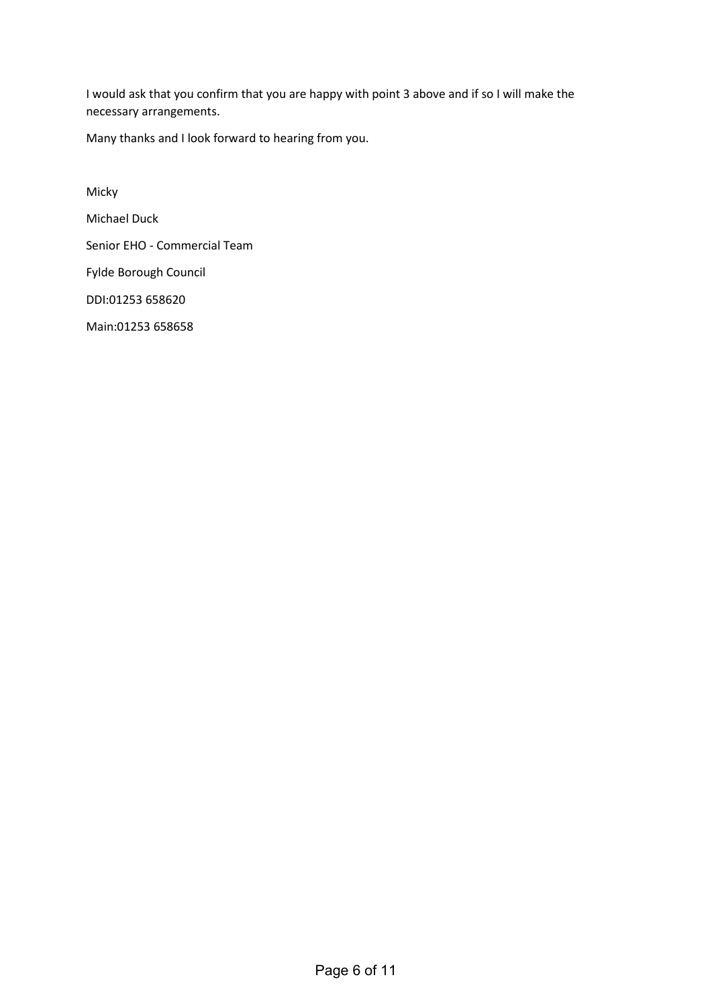I would ask that you confirm that you are happy with point 3 above and if so I will make the necessary arrangements.

Many thanks and I look forward to hearing from you.

Micky Michael Duck Senior EHO - Commercial Team Fylde Borough Council DDI:01253 658620 Main:01253 658658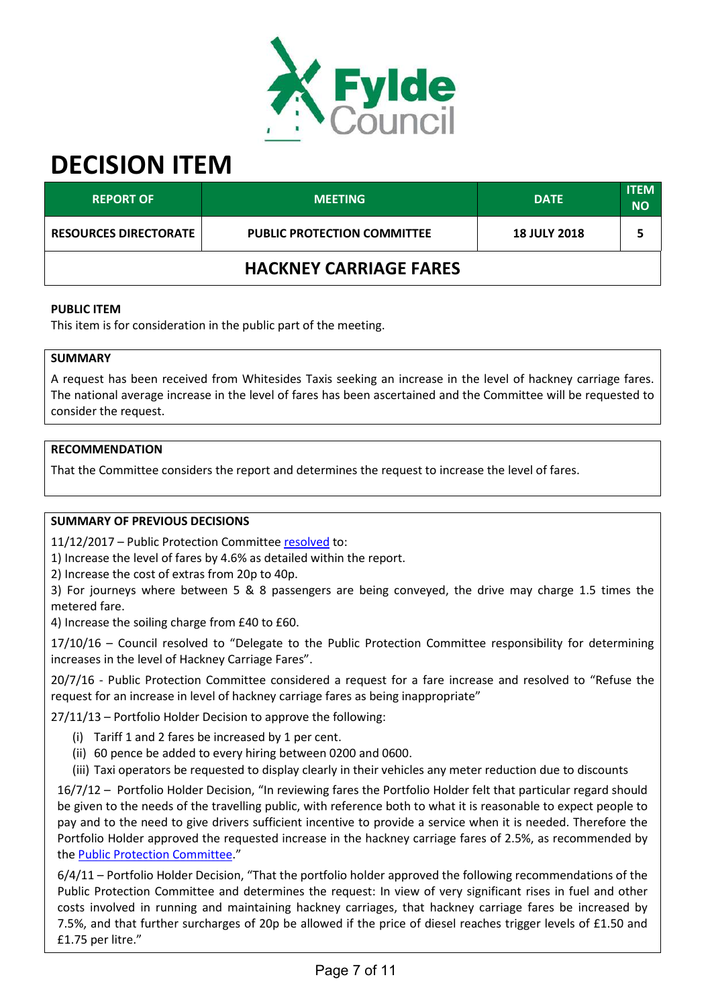

# **DECISION ITEM**

| <b>REPORT OF</b>              | <b>MEETING</b>                     | <b>DATE</b>         | <b>ITEM</b><br><b>NO</b> |  |
|-------------------------------|------------------------------------|---------------------|--------------------------|--|
| <b>RESOURCES DIRECTORATE</b>  | <b>PUBLIC PROTECTION COMMITTEE</b> | <b>18 JULY 2018</b> |                          |  |
| <b>HACKNEY CARRIAGE FARES</b> |                                    |                     |                          |  |

#### **PUBLIC ITEM**

This item is for consideration in the public part of the meeting.

## **SUMMARY**

A request has been received from Whitesides Taxis seeking an increase in the level of hackney carriage fares. The national average increase in the level of fares has been ascertained and the Committee will be requested to consider the request.

## **RECOMMENDATION**

That the Committee considers the report and determines the request to increase the level of fares.

## **SUMMARY OF PREVIOUS DECISIONS**

11/12/2017 – Public Protection Committe[e resolved](https://fylde.cmis.uk.com/Fylde/Document.ashx?czJKcaeAi5tUFL1DTL2UE4zNRBcoShgo=aCG%2fRBfLkMVnyRpj50i34tIYNskY9dctSDJsFrN%2fviboy6P4CcDoyw%3d%3d&rUzwRPf%2bZ3zd4E7Ikn8Lyw%3d%3d=pwRE6AGJFLDNlh225F5QMaQWCtPHwdhUfCZ%2fLUQzgA2uL5jNRG4jdQ%3d%3d&mCTIbCubSFfXsDGW9IXnlg%3d%3d=hFflUdN3100%3d&kCx1AnS9%2fpWZQ40DXFvdEw%3d%3d=hFflUdN3100%3d&uJovDxwdjMPoYv%2bAJvYtyA%3d%3d=ctNJFf55vVA%3d&FgPlIEJYlotS%2bYGoBi5olA%3d%3d=NHdURQburHA%3d&d9Qjj0ag1Pd993jsyOJqFvmyB7X0CSQK=ctNJFf55vVA%3d&WGewmoAfeNR9xqBux0r1Q8Za60lavYmz=ctNJFf55vVA%3d&WGewmoAfeNQ16B2MHuCpMRKZMwaG1PaO=ctNJFf55vVA%3d) to:

1) Increase the level of fares by 4.6% as detailed within the report.

2) Increase the cost of extras from 20p to 40p.

3) For journeys where between 5 & 8 passengers are being conveyed, the drive may charge 1.5 times the metered fare.

4) Increase the soiling charge from £40 to £60.

17/10/16 – Council resolved to "Delegate to the Public Protection Committee responsibility for determining increases in the level of Hackney Carriage Fares".

20/7/16 - Public Protection Committee considered a request for a fare increase and resolved to "Refuse the request for an increase in level of hackney carriage fares as being inappropriate"

27/11/13 – Portfolio Holder Decision to approve the following:

- (i) Tariff 1 and 2 fares be increased by 1 per cent.
- (ii) 60 pence be added to every hiring between 0200 and 0600.
- (iii) Taxi operators be requested to display clearly in their vehicles any meter reduction due to discounts

16/7/12 – Portfolio Holder Decision, "In reviewing fares the Portfolio Holder felt that particular regard should be given to the needs of the travelling public, with reference both to what it is reasonable to expect people to pay and to the need to give drivers sufficient incentive to provide a service when it is needed. Therefore the Portfolio Holder approved the requested increase in the hackney carriage fares of 2.5%, as recommended by the [Public Protection Committee.](https://fylde.cmis.uk.com/Fylde/Document.ashx?czJKcaeAi5tUFL1DTL2UE4zNRBcoShgo=IvIL59LL%2b3dczyi1hsSy1eCy0xe28HD6Gb%2brs0DZ103XFNkEmwVt4A%3d%3d&rUzwRPf%2bZ3zd4E7Ikn8Lyw%3d%3d=pwRE6AGJFLDNlh225F5QMaQWCtPHwdhUfCZ%2fLUQzgA2uL5jNRG4jdQ%3d%3d&mCTIbCubSFfXsDGW9IXnlg%3d%3d=hFflUdN3100%3d&kCx1AnS9%2fpWZQ40DXFvdEw%3d%3d=hFflUdN3100%3d&uJovDxwdjMPoYv%2bAJvYtyA%3d%3d=ctNJFf55vVA%3d&FgPlIEJYlotS%2bYGoBi5olA%3d%3d=NHdURQburHA%3d&d9Qjj0ag1Pd993jsyOJqFvmyB7X0CSQK=ctNJFf55vVA%3d&WGewmoAfeNR9xqBux0r1Q8Za60lavYmz=ctNJFf55vVA%3d&WGewmoAfeNQ16B2MHuCpMRKZMwaG1PaO=ctNJFf55vVA%3d)"

6/4/11 – Portfolio Holder Decision, "That the portfolio holder approved the following recommendations of the Public Protection Committee and determines the request: In view of very significant rises in fuel and other costs involved in running and maintaining hackney carriages, that hackney carriage fares be increased by 7.5%, and that further surcharges of 20p be allowed if the price of diesel reaches trigger levels of £1.50 and £1.75 per litre."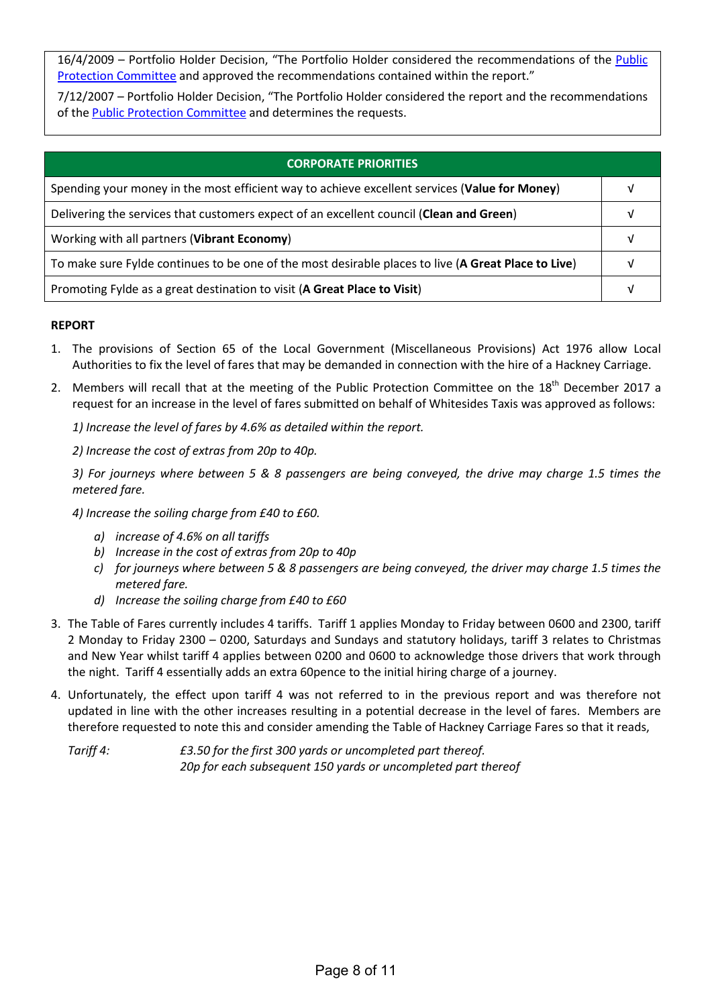16/4/2009 – Portfolio Holder Decision, "The Portfolio Holder considered the recommendations of the [Public](https://fylde.cmis.uk.com/Fylde/Document.ashx?czJKcaeAi5tUFL1DTL2UE4zNRBcoShgo=K1SZxd0rvHPAfVAuK24OaiiS4o9eHICcSPxiJYD2pvQutaKtP1CrSA%3d%3d&rUzwRPf%2bZ3zd4E7Ikn8Lyw%3d%3d=pwRE6AGJFLDNlh225F5QMaQWCtPHwdhUfCZ%2fLUQzgA2uL5jNRG4jdQ%3d%3d&mCTIbCubSFfXsDGW9IXnlg%3d%3d=hFflUdN3100%3d&kCx1AnS9%2fpWZQ40DXFvdEw%3d%3d=hFflUdN3100%3d&uJovDxwdjMPoYv%2bAJvYtyA%3d%3d=ctNJFf55vVA%3d&FgPlIEJYlotS%2bYGoBi5olA%3d%3d=NHdURQburHA%3d&d9Qjj0ag1Pd993jsyOJqFvmyB7X0CSQK=ctNJFf55vVA%3d&WGewmoAfeNR9xqBux0r1Q8Za60lavYmz=ctNJFf55vVA%3d&WGewmoAfeNQ16B2MHuCpMRKZMwaG1PaO=ctNJFf55vVA%3d)  [Protection Committee](https://fylde.cmis.uk.com/Fylde/Document.ashx?czJKcaeAi5tUFL1DTL2UE4zNRBcoShgo=K1SZxd0rvHPAfVAuK24OaiiS4o9eHICcSPxiJYD2pvQutaKtP1CrSA%3d%3d&rUzwRPf%2bZ3zd4E7Ikn8Lyw%3d%3d=pwRE6AGJFLDNlh225F5QMaQWCtPHwdhUfCZ%2fLUQzgA2uL5jNRG4jdQ%3d%3d&mCTIbCubSFfXsDGW9IXnlg%3d%3d=hFflUdN3100%3d&kCx1AnS9%2fpWZQ40DXFvdEw%3d%3d=hFflUdN3100%3d&uJovDxwdjMPoYv%2bAJvYtyA%3d%3d=ctNJFf55vVA%3d&FgPlIEJYlotS%2bYGoBi5olA%3d%3d=NHdURQburHA%3d&d9Qjj0ag1Pd993jsyOJqFvmyB7X0CSQK=ctNJFf55vVA%3d&WGewmoAfeNR9xqBux0r1Q8Za60lavYmz=ctNJFf55vVA%3d&WGewmoAfeNQ16B2MHuCpMRKZMwaG1PaO=ctNJFf55vVA%3d) and approved the recommendations contained within the report."

7/12/2007 – Portfolio Holder Decision, "The Portfolio Holder considered the report and the recommendations of the [Public Protection Committee](https://fylde.cmis.uk.com/fylde/MeetingsCalendar/tabid/70/ctl/ViewMeetingPublic/mid/397/Meeting/681/Committee/35/Default.aspx) and determines the requests.

| <b>CORPORATE PRIORITIES</b>                                                                         |  |
|-----------------------------------------------------------------------------------------------------|--|
| Spending your money in the most efficient way to achieve excellent services (Value for Money)       |  |
| Delivering the services that customers expect of an excellent council (Clean and Green)             |  |
| Working with all partners (Vibrant Economy)                                                         |  |
| To make sure Fylde continues to be one of the most desirable places to live (A Great Place to Live) |  |
| Promoting Fylde as a great destination to visit (A Great Place to Visit)                            |  |

## **REPORT**

- 1. The provisions of Section 65 of the Local Government (Miscellaneous Provisions) Act 1976 allow Local Authorities to fix the level of fares that may be demanded in connection with the hire of a Hackney Carriage.
- 2. Members will recall that at the meeting of the Public Protection Committee on the 18<sup>th</sup> December 2017 a request for an increase in the level of fares submitted on behalf of Whitesides Taxis was approved as follows:

*1) Increase the level of fares by 4.6% as detailed within the report.*

*2) Increase the cost of extras from 20p to 40p.*

*3) For journeys where between 5 & 8 passengers are being conveyed, the drive may charge 1.5 times the metered fare.*

*4) Increase the soiling charge from £40 to £60.*

- *a) increase of 4.6% on all tariffs*
- *b) Increase in the cost of extras from 20p to 40p*
- *c) for journeys where between 5 & 8 passengers are being conveyed, the driver may charge 1.5 times the metered fare.*
- *d) Increase the soiling charge from £40 to £60*
- 3. The Table of Fares currently includes 4 tariffs. Tariff 1 applies Monday to Friday between 0600 and 2300, tariff 2 Monday to Friday 2300 – 0200, Saturdays and Sundays and statutory holidays, tariff 3 relates to Christmas and New Year whilst tariff 4 applies between 0200 and 0600 to acknowledge those drivers that work through the night. Tariff 4 essentially adds an extra 60pence to the initial hiring charge of a journey.
- 4. Unfortunately, the effect upon tariff 4 was not referred to in the previous report and was therefore not updated in line with the other increases resulting in a potential decrease in the level of fares. Members are therefore requested to note this and consider amending the Table of Hackney Carriage Fares so that it reads,

*Tariff 4: £3.50 for the first 300 yards or uncompleted part thereof. 20p for each subsequent 150 yards or uncompleted part thereof*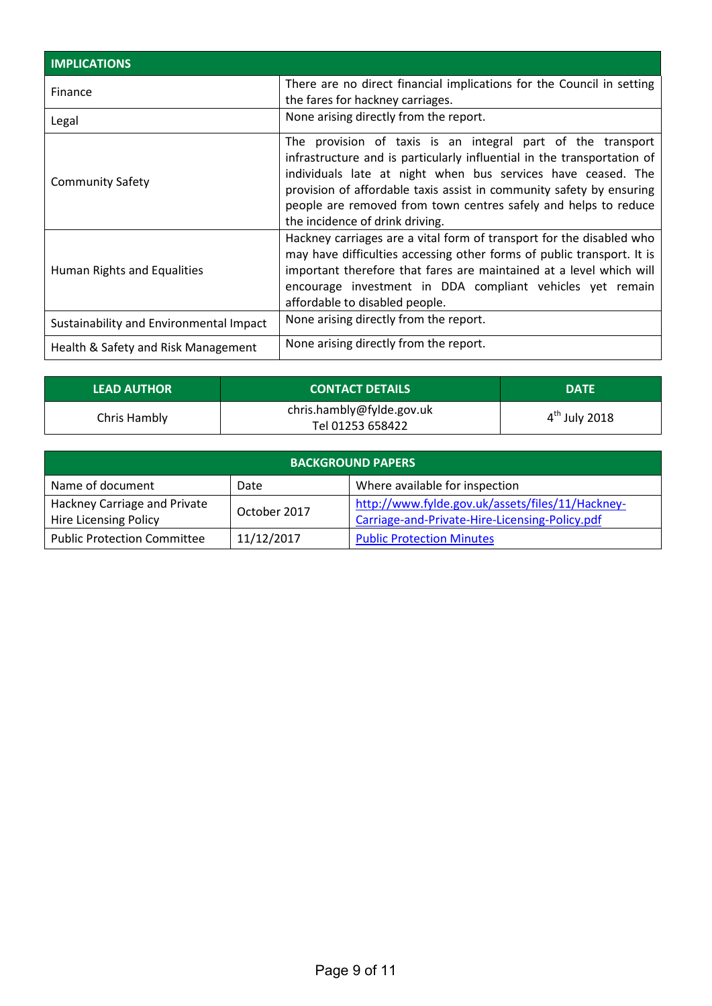| <b>IMPLICATIONS</b>                     |                                                                                                                                                                                                                                                                                                                                                                                      |
|-----------------------------------------|--------------------------------------------------------------------------------------------------------------------------------------------------------------------------------------------------------------------------------------------------------------------------------------------------------------------------------------------------------------------------------------|
| Finance                                 | There are no direct financial implications for the Council in setting<br>the fares for hackney carriages.                                                                                                                                                                                                                                                                            |
| Legal                                   | None arising directly from the report.                                                                                                                                                                                                                                                                                                                                               |
| <b>Community Safety</b>                 | The provision of taxis is an integral part of the transport<br>infrastructure and is particularly influential in the transportation of<br>individuals late at night when bus services have ceased. The<br>provision of affordable taxis assist in community safety by ensuring<br>people are removed from town centres safely and helps to reduce<br>the incidence of drink driving. |
| Human Rights and Equalities             | Hackney carriages are a vital form of transport for the disabled who<br>may have difficulties accessing other forms of public transport. It is<br>important therefore that fares are maintained at a level which will<br>encourage investment in DDA compliant vehicles yet remain<br>affordable to disabled people.                                                                 |
| Sustainability and Environmental Impact | None arising directly from the report.                                                                                                                                                                                                                                                                                                                                               |
| Health & Safety and Risk Management     | None arising directly from the report.                                                                                                                                                                                                                                                                                                                                               |

| <b>LEAD AUTHOR</b> | <b>CONTACT DETAILS</b>                        | <b>DATE</b>     |
|--------------------|-----------------------------------------------|-----------------|
| Chris Hambly       | chris.hambly@fylde.gov.uk<br>Tel 01253 658422 | $4th$ July 2018 |

| <b>BACKGROUND PAPERS</b>                                     |              |                                                                                                    |  |
|--------------------------------------------------------------|--------------|----------------------------------------------------------------------------------------------------|--|
| Name of document                                             | Date         | Where available for inspection                                                                     |  |
| Hackney Carriage and Private<br><b>Hire Licensing Policy</b> | October 2017 | http://www.fylde.gov.uk/assets/files/11/Hackney-<br>Carriage-and-Private-Hire-Licensing-Policy.pdf |  |
| <b>Public Protection Committee</b>                           | 11/12/2017   | <b>Public Protection Minutes</b>                                                                   |  |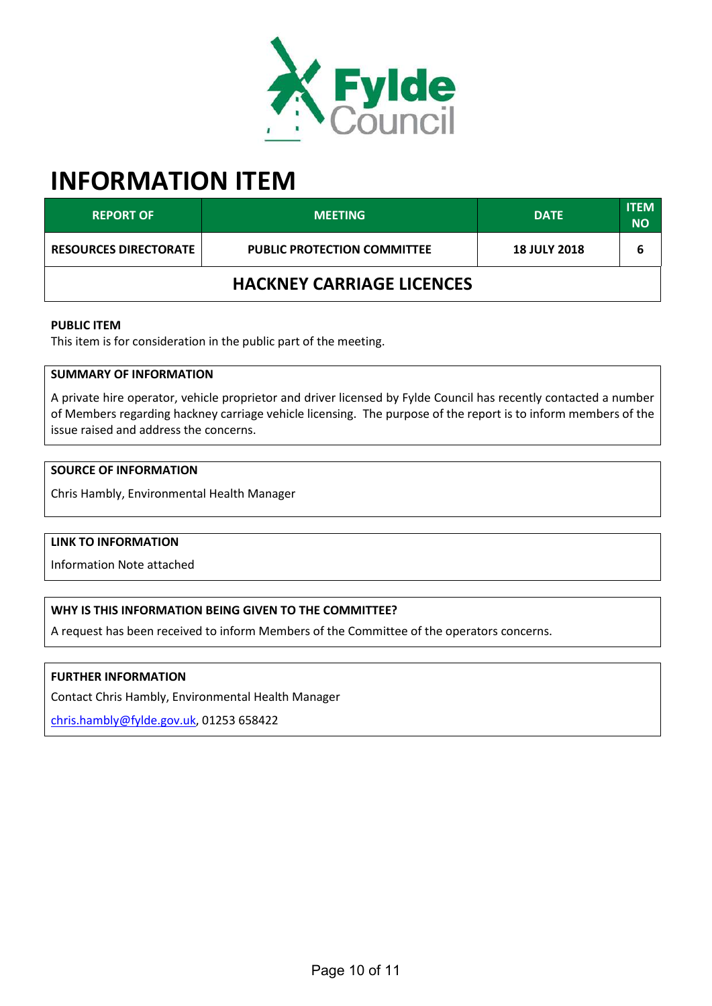

# **INFORMATION ITEM**

| <b>REPORT OF</b>                 | <b>MEETING</b>                     | <b>DATE</b>         | <b>ITEM</b><br><b>NO</b> |  |
|----------------------------------|------------------------------------|---------------------|--------------------------|--|
| <b>RESOURCES DIRECTORATE</b>     | <b>PUBLIC PROTECTION COMMITTEE</b> | <b>18 JULY 2018</b> | 6                        |  |
| <b>HACKNEY CARRIAGE LICENCES</b> |                                    |                     |                          |  |

#### **PUBLIC ITEM**

This item is for consideration in the public part of the meeting.

#### **SUMMARY OF INFORMATION**

A private hire operator, vehicle proprietor and driver licensed by Fylde Council has recently contacted a number of Members regarding hackney carriage vehicle licensing. The purpose of the report is to inform members of the issue raised and address the concerns.

#### **SOURCE OF INFORMATION**

Chris Hambly, Environmental Health Manager

#### **LINK TO INFORMATION**

Information Note attached

## **WHY IS THIS INFORMATION BEING GIVEN TO THE COMMITTEE?**

A request has been received to inform Members of the Committee of the operators concerns.

## **FURTHER INFORMATION**

Contact Chris Hambly, Environmental Health Manager

[chris.hambly@fylde.gov.uk,](mailto:chris.hambly@fylde.gov.uk) 01253 658422